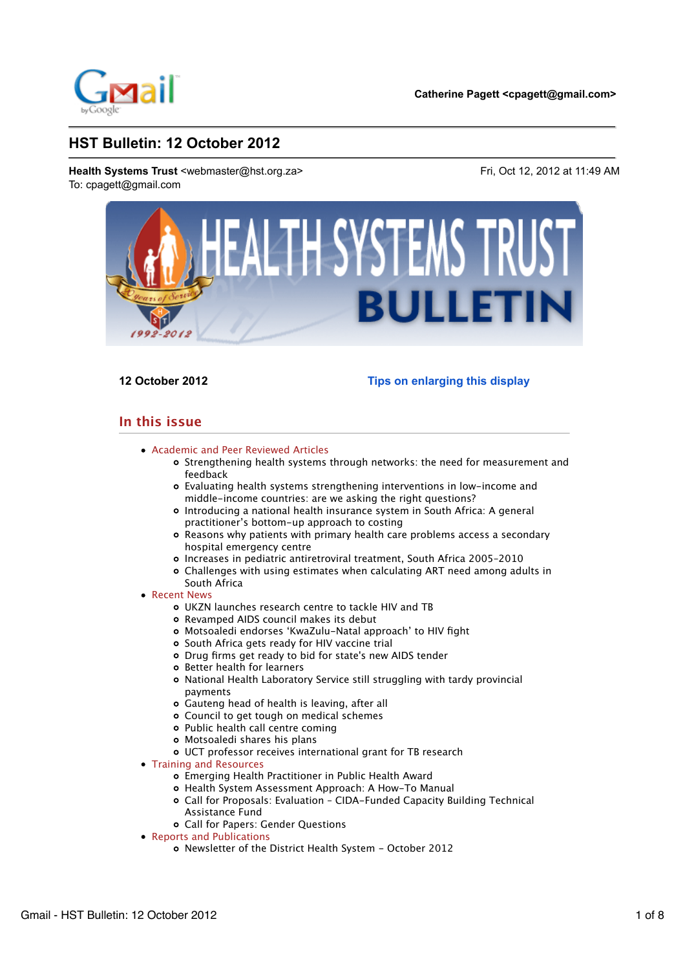

**12 October 2012 Tips on enlarging this display**

# **In this issue**

- Academic and Peer Reviewed Articles
	- Strengthening health systems through networks: the need for measurement and feedback
	- Evaluating health systems strengthening interventions in low-income and middle-income countries: are we asking the right questions?
	- Introducing a national health insurance system in South Africa: A general practitioner's bottom-up approach to costing
	- Reasons why patients with primary health care problems access a secondary hospital emergency centre
	- Increases in pediatric antiretroviral treatment, South Africa 2005–2010
	- Challenges with using estimates when calculating ART need among adults in South Africa
- Recent News
	- UKZN launches research centre to tackle HIV and TB
	- Revamped AIDS council makes its debut
	- Motsoaledi endorses 'KwaZulu-Natal approach' to HIV fight
	- o South Africa gets ready for HIV vaccine trial
	- Drug firms get ready to bid for state's new AIDS tender
	- **o** Better health for learners
	- National Health Laboratory Service still struggling with tardy provincial payments
	- Gauteng head of health is leaving, after all
	- Council to get tough on medical schemes
	- Public health call centre coming
	- Motsoaledi shares his plans
	- UCT professor receives international grant for TB research
- Training and Resources
	- Emerging Health Practitioner in Public Health Award
	- Health System Assessment Approach: A How-To Manual
	- Call for Proposals: Evaluation CIDA-Funded Capacity Building Technical Assistance Fund
	- Call for Papers: Gender Questions
- Reports and Publications
	- Newsletter of the District Health System October 2012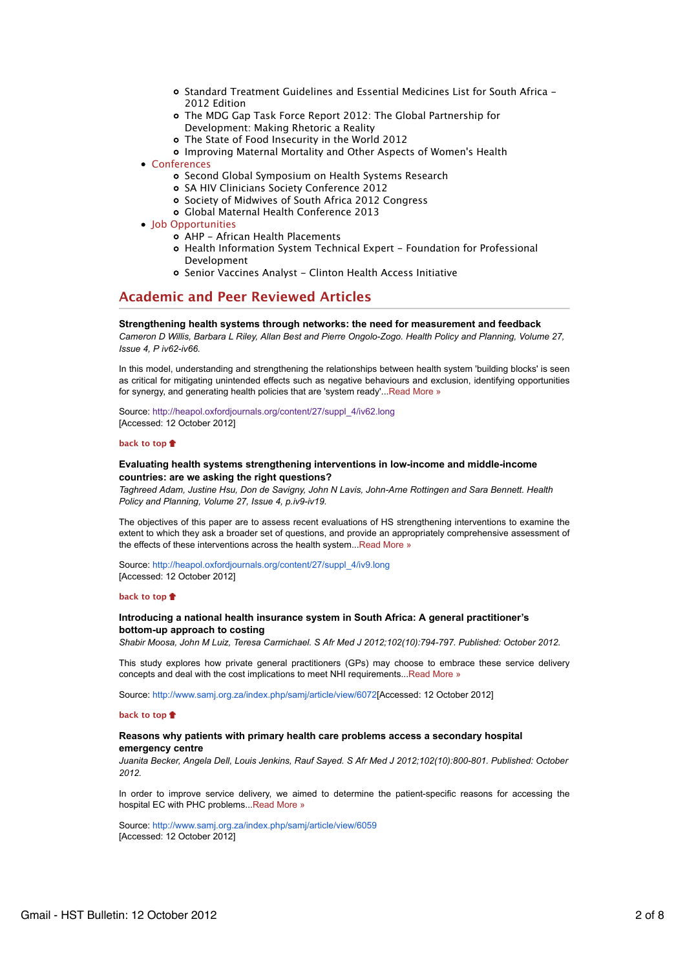- Standard Treatment Guidelines and Essential Medicines List for South Africa 2012 Edition
- The MDG Gap Task Force Report 2012: The Global Partnership for Development: Making Rhetoric a Reality
- The State of Food Insecurity in the World 2012
- Improving Maternal Mortality and Other Aspects of Women's Health
- Conferences
	- o Second Global Symposium on Health Systems Research
	- SA HIV Clinicians Society Conference 2012
	- Society of Midwives of South Africa 2012 Congress
	- Global Maternal Health Conference 2013
- Job Opportunities
	- AHP African Health Placements
	- Health Information System Technical Expert Foundation for Professional Development
	- Senior Vaccines Analyst Clinton Health Access Initiative

# **Academic and Peer Reviewed Articles**

# **Strengthening health systems through networks: the need for measurement and feedback**

*Cameron D Willis, Barbara L Riley, Allan Best and Pierre Ongolo-Zogo. Health Policy and Planning, Volume 27, Issue 4, P iv62-iv66.*

In this model, understanding and strengthening the relationships between health system 'building blocks' is seen as critical for mitigating unintended effects such as negative behaviours and exclusion, identifying opportunities for synergy, and generating health policies that are 'system ready'...Read More »

Source: http://heapol.oxfordjournals.org/content/27/suppl\_4/iv62.long [Accessed: 12 October 2012]

# **back to top**

# **Evaluating health systems strengthening interventions in low-income and middle-income countries: are we asking the right questions?**

*Taghreed Adam, Justine Hsu, Don de Savigny, John N Lavis, John-Arne Rottingen and Sara Bennett. Health Policy and Planning, Volume 27, Issue 4, p.iv9-iv19.*

The objectives of this paper are to assess recent evaluations of HS strengthening interventions to examine the extent to which they ask a broader set of questions, and provide an appropriately comprehensive assessment of the effects of these interventions across the health system...Read More »

Source: http://heapol.oxfordjournals.org/content/27/suppl\_4/iv9.long [Accessed: 12 October 2012]

## **back to top**

# **Introducing a national health insurance system in South Africa: A general practitioner's bottom-up approach to costing**

*Shabir Moosa, John M Luiz, Teresa Carmichael. S Afr Med J 2012;102(10):794-797. Published: October 2012.*

This study explores how private general practitioners (GPs) may choose to embrace these service delivery concepts and deal with the cost implications to meet NHI requirements...Read More »

Source: http://www.samj.org.za/index.php/samj/article/view/6072[Accessed: 12 October 2012]

## **back to top**

## **Reasons why patients with primary health care problems access a secondary hospital emergency centre**

*Juanita Becker, Angela Dell, Louis Jenkins, Rauf Sayed. S Afr Med J 2012;102(10):800-801. Published: October 2012.*

In order to improve service delivery, we aimed to determine the patient-specific reasons for accessing the hospital EC with PHC problems...Read More »

Source: http://www.samj.org.za/index.php/samj/article/view/6059 [Accessed: 12 October 2012]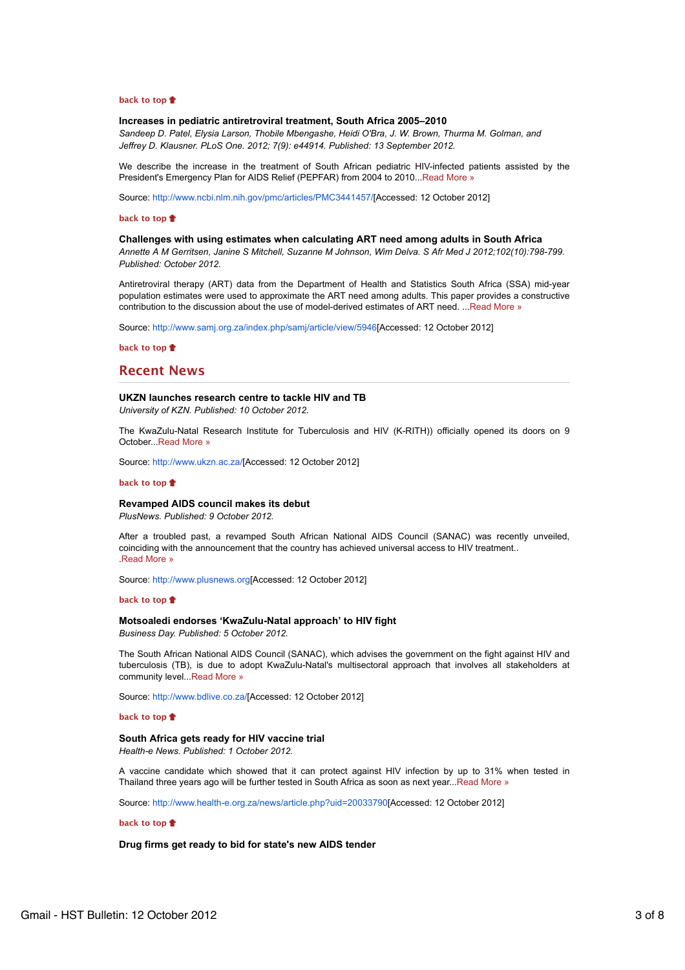## **back to top**

## **Increases in pediatric antiretroviral treatment, South Africa 2005–2010**

*Sandeep D. Patel, Elysia Larson, Thobile Mbengashe, Heidi O'Bra, J. W. Brown, Thurma M. Golman, and Jeffrey D. Klausner. PLoS One. 2012; 7(9): e44914. Published: 13 September 2012.*

We describe the increase in the treatment of South African pediatric HIV-infected patients assisted by the President's Emergency Plan for AIDS Relief (PEPFAR) from 2004 to 2010...Read More »

Source: http://www.ncbi.nlm.nih.gov/pmc/articles/PMC3441457/[Accessed: 12 October 2012]

## **back to top**

# **Challenges with using estimates when calculating ART need among adults in South Africa**

*Annette A M Gerritsen, Janine S Mitchell, Suzanne M Johnson, Wim Delva. S Afr Med J 2012;102(10):798-799. Published: October 2012.*

Antiretroviral therapy (ART) data from the Department of Health and Statistics South Africa (SSA) mid-year population estimates were used to approximate the ART need among adults. This paper provides a constructive contribution to the discussion about the use of model-derived estimates of ART need. ...Read More »

Source: http://www.samj.org.za/index.php/samj/article/view/5946[Accessed: 12 October 2012]

**back to top**

# **Recent News**

## **UKZN launches research centre to tackle HIV and TB**

*University of KZN. Published: 10 October 2012.*

The KwaZulu-Natal Research Institute for Tuberculosis and HIV (K-RITH)) officially opened its doors on 9 October...Read More »

Source: http://www.ukzn.ac.za/[Accessed: 12 October 2012]

### **back to top**

# **Revamped AIDS council makes its debut**

*PlusNews. Published: 9 October 2012.*

After a troubled past, a revamped South African National AIDS Council (SANAC) was recently unveiled, coinciding with the announcement that the country has achieved universal access to HIV treatment.. .Read More »

Source: http://www.plusnews.org[Accessed: 12 October 2012]

### **back to top**

## **Motsoaledi endorses 'KwaZulu-Natal approach' to HIV fight**

*Business Day. Published: 5 October 2012.*

The South African National AIDS Council (SANAC), which advises the government on the fight against HIV and tuberculosis (TB), is due to adopt KwaZulu-Natal's multisectoral approach that involves all stakeholders at community level...Read More »

Source: http://www.bdlive.co.za/[Accessed: 12 October 2012]

## **back to top**

# **South Africa gets ready for HIV vaccine trial**

*Health-e News. Published: 1 October 2012.*

A vaccine candidate which showed that it can protect against HIV infection by up to 31% when tested in Thailand three years ago will be further tested in South Africa as soon as next year...Read More »

Source: http://www.health-e.org.za/news/article.php?uid=20033790[Accessed: 12 October 2012]

## **back to top**

## **Drug firms get ready to bid for state's new AIDS tender**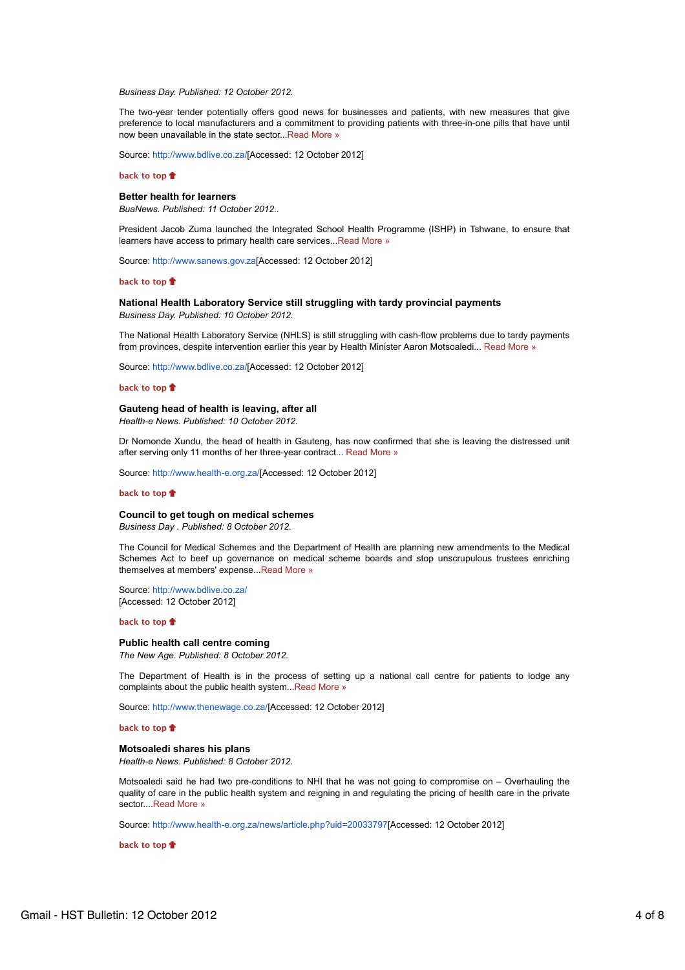#### *Business Day. Published: 12 October 2012.*

The two-year tender potentially offers good news for businesses and patients, with new measures that give preference to local manufacturers and a commitment to providing patients with three-in-one pills that have until now been unavailable in the state sector...Read More »

Source: http://www.bdlive.co.za/[Accessed: 12 October 2012]

#### **back to top**

## **Better health for learners**

*BuaNews. Published: 11 October 2012..*

President Jacob Zuma launched the Integrated School Health Programme (ISHP) in Tshwane, to ensure that learners have access to primary health care services...Read More »

Source: http://www.sanews.gov.za[Accessed: 12 October 2012]

## **back to top**

## **National Health Laboratory Service still struggling with tardy provincial payments**

*Business Day. Published: 10 October 2012.*

The National Health Laboratory Service (NHLS) is still struggling with cash-flow problems due to tardy payments from provinces, despite intervention earlier this year by Health Minister Aaron Motsoaledi... Read More »

Source: http://www.bdlive.co.za/[Accessed: 12 October 2012]

#### **back to top**

## **Gauteng head of health is leaving, after all**

*Health-e News. Published: 10 October 2012.*

Dr Nomonde Xundu, the head of health in Gauteng, has now confirmed that she is leaving the distressed unit after serving only 11 months of her three-year contract... Read More »

Source: http://www.health-e.org.za/[Accessed: 12 October 2012]

#### **back to top**

#### **Council to get tough on medical schemes**

*Business Day . Published: 8 October 2012.*

The Council for Medical Schemes and the Department of Health are planning new amendments to the Medical Schemes Act to beef up governance on medical scheme boards and stop unscrupulous trustees enriching themselves at members' expense...Read More »

Source: http://www.bdlive.co.za/ [Accessed: 12 October 2012]

#### **back to top**

#### **Public health call centre coming**

*The New Age. Published: 8 October 2012.*

The Department of Health is in the process of setting up a national call centre for patients to lodge any complaints about the public health system...Read More »

Source: http://www.thenewage.co.za/[Accessed: 12 October 2012]

# **back to top**

# **Motsoaledi shares his plans**

*Health-e News. Published: 8 October 2012.*

Motsoaledi said he had two pre-conditions to NHI that he was not going to compromise on – Overhauling the quality of care in the public health system and reigning in and regulating the pricing of health care in the private sector....Read More »

Source: http://www.health-e.org.za/news/article.php?uid=20033797[Accessed: 12 October 2012]

**back to top**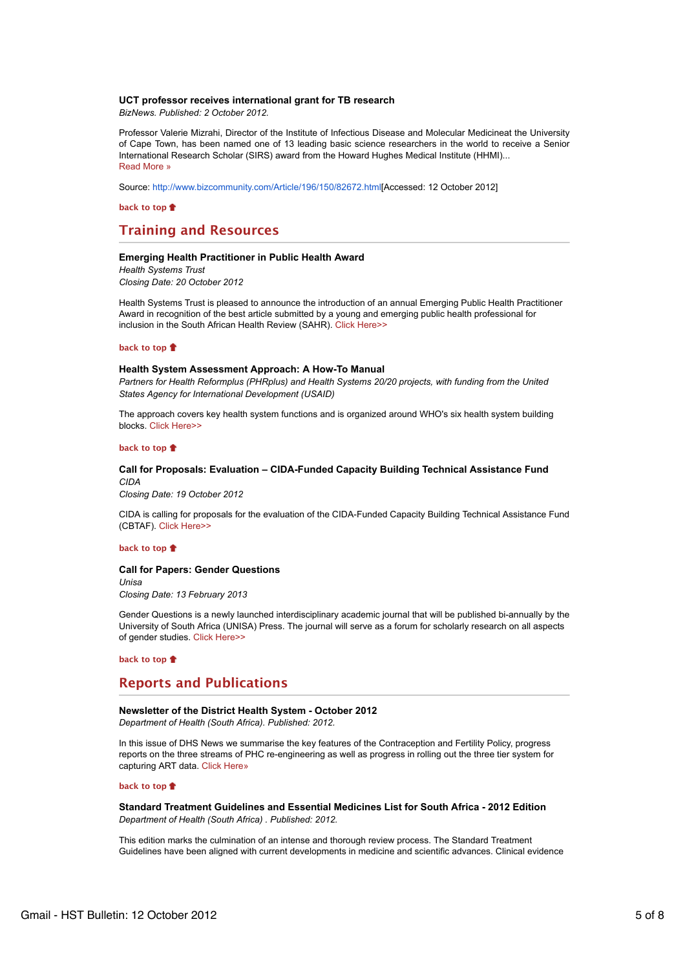# **UCT professor receives international grant for TB research**

*BizNews. Published: 2 October 2012.*

Professor Valerie Mizrahi, Director of the Institute of Infectious Disease and Molecular Medicineat the University of Cape Town, has been named one of 13 leading basic science researchers in the world to receive a Senior International Research Scholar (SIRS) award from the Howard Hughes Medical Institute (HHMI)... Read More »

Source: http://www.bizcommunity.com/Article/196/150/82672.html[Accessed: 12 October 2012]

**back to top**

# **Training and Resources**

## **Emerging Health Practitioner in Public Health Award**

*Health Systems Trust Closing Date: 20 October 2012*

Health Systems Trust is pleased to announce the introduction of an annual Emerging Public Health Practitioner Award in recognition of the best article submitted by a young and emerging public health professional for inclusion in the South African Health Review (SAHR). Click Here>>

## **back to top**

#### **Health System Assessment Approach: A How-To Manual**

*Partners for Health Reformplus (PHRplus) and Health Systems 20/20 projects, with funding from the United States Agency for International Development (USAID)*

The approach covers key health system functions and is organized around WHO's six health system building blocks. Click Here>>

### **back to top**

# **Call for Proposals: Evaluation – CIDA-Funded Capacity Building Technical Assistance Fund** *CIDA*

*Closing Date: 19 October 2012*

CIDA is calling for proposals for the evaluation of the CIDA-Funded Capacity Building Technical Assistance Fund (CBTAF). Click Here>>

## **back to top**

### **Call for Papers: Gender Questions**

*Unisa Closing Date: 13 February 2013*

Gender Questions is a newly launched interdisciplinary academic journal that will be published bi-annually by the University of South Africa (UNISA) Press. The journal will serve as a forum for scholarly research on all aspects of gender studies. Click Here>>

**back to top**

# **Reports and Publications**

# **Newsletter of the District Health System - October 2012**

*Department of Health (South Africa). Published: 2012.*

In this issue of DHS News we summarise the key features of the Contraception and Fertility Policy, progress reports on the three streams of PHC re-engineering as well as progress in rolling out the three tier system for capturing ART data. Click Here»

## **back to top**

**Standard Treatment Guidelines and Essential Medicines List for South Africa - 2012 Edition** *Department of Health (South Africa) . Published: 2012.*

This edition marks the culmination of an intense and thorough review process. The Standard Treatment Guidelines have been aligned with current developments in medicine and scientific advances. Clinical evidence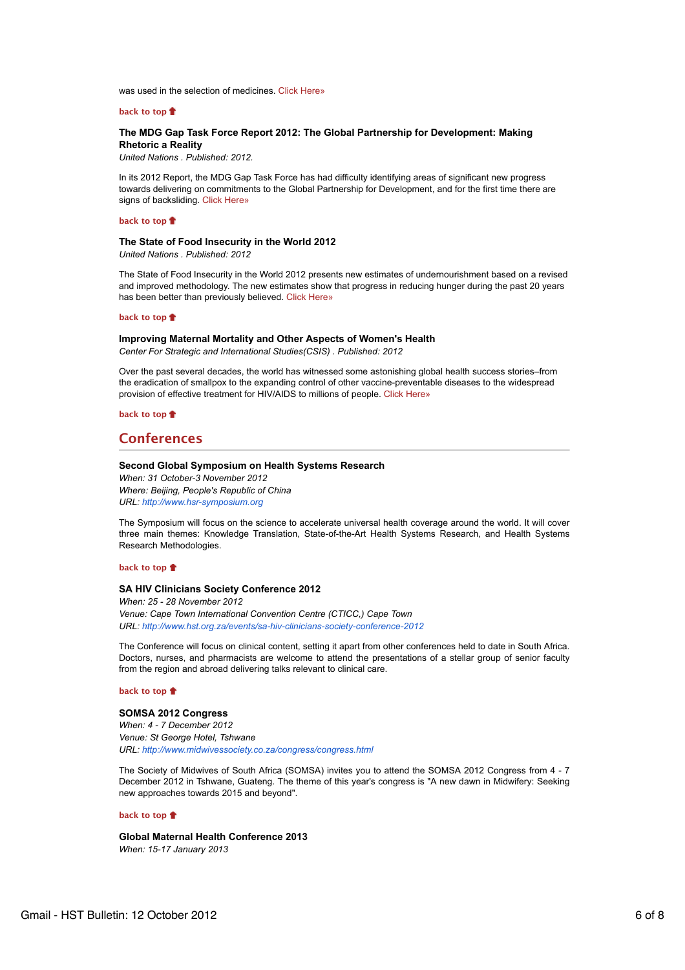was used in the selection of medicines. Click Here»

### **back to top**

# **The MDG Gap Task Force Report 2012: The Global Partnership for Development: Making Rhetoric a Reality**

*United Nations . Published: 2012.*

In its 2012 Report, the MDG Gap Task Force has had difficulty identifying areas of significant new progress towards delivering on commitments to the Global Partnership for Development, and for the first time there are signs of backsliding. Click Here»

# **back to top**

#### **The State of Food Insecurity in the World 2012** *United Nations . Published: 2012*

The State of Food Insecurity in the World 2012 presents new estimates of undernourishment based on a revised and improved methodology. The new estimates show that progress in reducing hunger during the past 20 years has been better than previously believed. Click Here»

# **back to top**

#### **Improving Maternal Mortality and Other Aspects of Women's Health**

*Center For Strategic and International Studies(CSIS) . Published: 2012*

Over the past several decades, the world has witnessed some astonishing global health success stories–from the eradication of smallpox to the expanding control of other vaccine-preventable diseases to the widespread provision of effective treatment for HIV/AIDS to millions of people. Click Here»

**back to top**

# **Conferences**

## **Second Global Symposium on Health Systems Research**

*When: 31 October-3 November 2012 Where: Beijing, People's Republic of China URL: http://www.hsr-symposium.org*

The Symposium will focus on the science to accelerate universal health coverage around the world. It will cover three main themes: Knowledge Translation, State-of-the-Art Health Systems Research, and Health Systems Research Methodologies.

#### **back to top**

# **SA HIV Clinicians Society Conference 2012**

*When: 25 - 28 November 2012 Venue: Cape Town International Convention Centre (CTICC,) Cape Town URL: http://www.hst.org.za/events/sa-hiv-clinicians-society-conference-2012*

The Conference will focus on clinical content, setting it apart from other conferences held to date in South Africa. Doctors, nurses, and pharmacists are welcome to attend the presentations of a stellar group of senior faculty from the region and abroad delivering talks relevant to clinical care.

## **back to top**

# **SOMSA 2012 Congress** *When: 4 - 7 December 2012 Venue: St George Hotel, Tshwane URL: http://www.midwivessociety.co.za/congress/congress.html*

The Society of Midwives of South Africa (SOMSA) invites you to attend the SOMSA 2012 Congress from 4 - 7 December 2012 in Tshwane, Guateng. The theme of this year's congress is "A new dawn in Midwifery: Seeking new approaches towards 2015 and beyond".

### **back to top**

**Global Maternal Health Conference 2013** *When: 15-17 January 2013*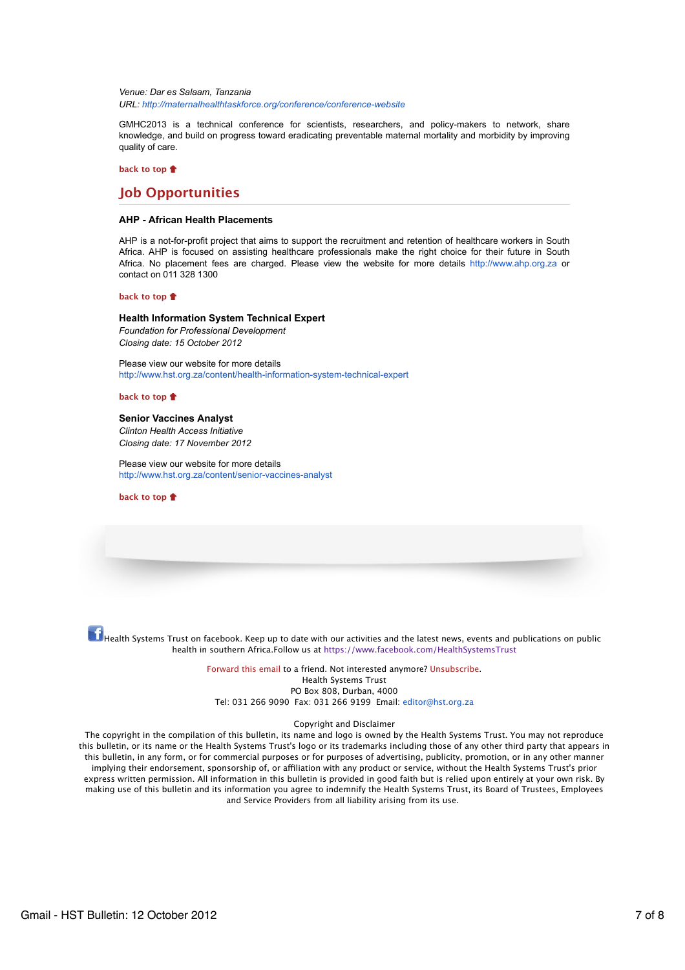*Venue: Dar es Salaam, Tanzania URL: http://maternalhealthtaskforce.org/conference/conference-website*

GMHC2013 is a technical conference for scientists, researchers, and policy-makers to network, share knowledge, and build on progress toward eradicating preventable maternal mortality and morbidity by improving quality of care.

**back to top**

# **Job Opportunities**

# **AHP - African Health Placements**

AHP is a not-for-profit project that aims to support the recruitment and retention of healthcare workers in South Africa. AHP is focused on assisting healthcare professionals make the right choice for their future in South Africa. No placement fees are charged. Please view the website for more details http://www.ahp.org.za or contact on 011 328 1300

### **back to top**

**Health Information System Technical Expert** *Foundation for Professional Development Closing date: 15 October 2012*

Please view our website for more details http://www.hst.org.za/content/health-information-system-technical-expert

## **back to top**

**Senior Vaccines Analyst** *Clinton Health Access Initiative Closing date: 17 November 2012*

Please view our website for more details http://www.hst.org.za/content/senior-vaccines-analyst

**back to top**

 $\ket{\mathbf{f}}$ Health Systems Trust on facebook. Keep up to date with our activities and the latest news, events and publications on public health in southern Africa.Follow us at https://www.facebook.com/HealthSystemsTrust

> Forward this email to a friend. Not interested anymore? Unsubscribe. Health Systems Trust PO Box 808, Durban, 4000 Tel: 031 266 9090 Fax: 031 266 9199 Email: editor@hst.org.za

# Copyright and Disclaimer

The copyright in the compilation of this bulletin, its name and logo is owned by the Health Systems Trust. You may not reproduce this bulletin, or its name or the Health Systems Trust's logo or its trademarks including those of any other third party that appears in this bulletin, in any form, or for commercial purposes or for purposes of advertising, publicity, promotion, or in any other manner implying their endorsement, sponsorship of, or afliation with any product or service, without the Health Systems Trust's prior express written permission. All information in this bulletin is provided in good faith but is relied upon entirely at your own risk. By making use of this bulletin and its information you agree to indemnify the Health Systems Trust, its Board of Trustees, Employees and Service Providers from all liability arising from its use.